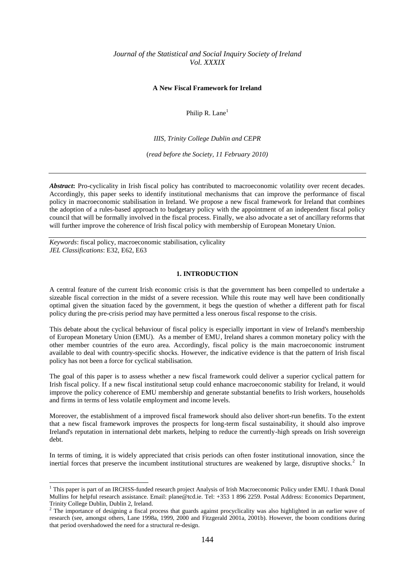# *Journal of the Statistical and Social Inquiry Society of Ireland Vol. XXXIX*

### **A New Fiscal Framework for Ireland**

Philip R. Lane<sup>1</sup>

*IIIS, Trinity College Dublin and CEPR*

(*read before the Society, 11 February 2010)*

Abstract: Pro-cyclicality in Irish fiscal policy has contributed to macroeconomic volatility over recent decades. Accordingly, this paper seeks to identify institutional mechanisms that can improve the performance of fiscal policy in macroeconomic stabilisation in Ireland. We propose a new fiscal framework for Ireland that combines the adoption of a rules-based approach to budgetary policy with the appointment of an independent fiscal policy council that will be formally involved in the fiscal process. Finally, we also advocate a set of ancillary reforms that will further improve the coherence of Irish fiscal policy with membership of European Monetary Union.

*Keywords*: fiscal policy, macroeconomic stabilisation, cylicality *JEL Classifications*: E32, E62, E63

-

### **1. INTRODUCTION**

A central feature of the current Irish economic crisis is that the government has been compelled to undertake a sizeable fiscal correction in the midst of a severe recession. While this route may well have been conditionally optimal given the situation faced by the government, it begs the question of whether a different path for fiscal policy during the pre-crisis period may have permitted a less onerous fiscal response to the crisis.

This debate about the cyclical behaviour of fiscal policy is especially important in view of Ireland's membership of European Monetary Union (EMU). As a member of EMU, Ireland shares a common monetary policy with the other member countries of the euro area. Accordingly, fiscal policy is the main macroeconomic instrument available to deal with country-specific shocks. However, the indicative evidence is that the pattern of Irish fiscal policy has not been a force for cyclical stabilisation.

The goal of this paper is to assess whether a new fiscal framework could deliver a superior cyclical pattern for Irish fiscal policy. If a new fiscal institutional setup could enhance macroeconomic stability for Ireland, it would improve the policy coherence of EMU membership and generate substantial benefits to Irish workers, households and firms in terms of less volatile employment and income levels.

Moreover, the establishment of a improved fiscal framework should also deliver short-run benefits. To the extent that a new fiscal framework improves the prospects for long-term fiscal sustainability, it should also improve Ireland's reputation in international debt markets, helping to reduce the currently-high spreads on Irish sovereign debt.

In terms of timing, it is widely appreciated that crisis periods can often foster institutional innovation, since the inertial forces that preserve the incumbent institutional structures are weakened by large, disruptive shocks.<sup>2</sup> In

<sup>&</sup>lt;sup>1</sup> This paper is part of an IRCHSS-funded research project Analysis of Irish Macroeconomic Policy under EMU. I thank Donal Mullins for helpful research assistance. Email: plane@tcd.ie. Tel: +353 1 896 2259. Postal Address: Economics Department, Trinity College Dublin, Dublin 2, Ireland.

<sup>&</sup>lt;sup>2</sup> The importance of designing a fiscal process that guards against procyclicality was also highlighted in an earlier wave of research (see, amongst others, Lane 1998a, 1999, 2000 and Fitzgerald 2001a, 2001b). However, the boom conditions during that period overshadowed the need for a structural re-design.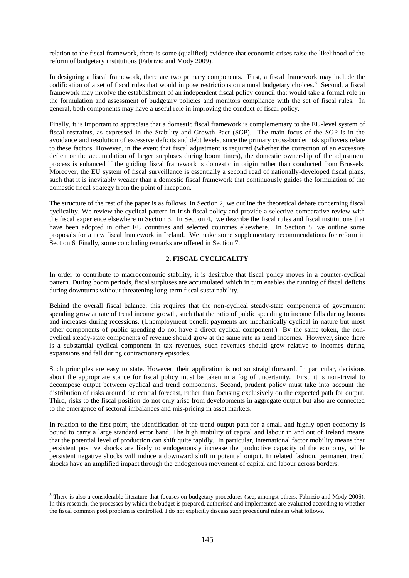relation to the fiscal framework, there is some (qualified) evidence that economic crises raise the likelihood of the reform of budgetary institutions (Fabrizio and Mody 2009).

In designing a fiscal framework, there are two primary components. First, a fiscal framework may include the codification of a set of fiscal rules that would impose restrictions on annual budgetary choices.<sup>3</sup> Second, a fiscal framework may involve the establishment of an independent fiscal policy council that would take a formal role in the formulation and assessment of budgetary policies and monitors compliance with the set of fiscal rules. In general, both components may have a useful role in improving the conduct of fiscal policy.

Finally, it is important to appreciate that a domestic fiscal framework is complementary to the EU-level system of fiscal restraints, as expressed in the Stability and Growth Pact (SGP). The main focus of the SGP is in the avoidance and resolution of excessive deficits and debt levels, since the primary cross-border risk spillovers relate to these factors. However, in the event that fiscal adjustment is required (whether the correction of an excessive deficit or the accumulation of larger surpluses during boom times), the domestic ownership of the adjustment process is enhanced if the guiding fiscal framework is domestic in origin rather than conducted from Brussels. Moreover, the EU system of fiscal surveillance is essentially a second read of nationally-developed fiscal plans, such that it is inevitably weaker than a domestic fiscal framework that continuously guides the formulation of the domestic fiscal strategy from the point of inception.

The structure of the rest of the paper is as follows. In Section 2, we outline the theoretical debate concerning fiscal cyclicality. We review the cyclical pattern in Irish fiscal policy and provide a selective comparative review with the fiscal experience elsewhere in Section 3. In Section 4, we describe the fiscal rules and fiscal institutions that have been adopted in other EU countries and selected countries elsewhere. In Section 5, we outline some proposals for a new fiscal framework in Ireland. We make some supplementary recommendations for reform in Section 6. Finally, some concluding remarks are offered in Section 7.

# **2. FISCAL CYCLICALITY**

In order to contribute to macroeconomic stability, it is desirable that fiscal policy moves in a counter-cyclical pattern. During boom periods, fiscal surpluses are accumulated which in turn enables the running of fiscal deficits during downturns without threatening long-term fiscal sustainability.

Behind the overall fiscal balance, this requires that the non-cyclical steady-state components of government spending grow at rate of trend income growth, such that the ratio of public spending to income falls during booms and increases during recessions. (Unemployment benefit payments are mechanically cyclical in nature but most other components of public spending do not have a direct cyclical component.) By the same token, the noncyclical steady-state components of revenue should grow at the same rate as trend incomes. However, since there is a substantial cyclical component in tax revenues, such revenues should grow relative to incomes during expansions and fall during contractionary episodes.

Such principles are easy to state. However, their application is not so straightforward. In particular, decisions about the appropriate stance for fiscal policy must be taken in a fog of uncertainty. First, it is non-trivial to decompose output between cyclical and trend components. Second, prudent policy must take into account the distribution of risks around the central forecast, rather than focusing exclusively on the expected path for output. Third, risks to the fiscal position do not only arise from developments in aggregate output but also are connected to the emergence of sectoral imbalances and mis-pricing in asset markets.

In relation to the first point, the identification of the trend output path for a small and highly open economy is bound to carry a large standard error band. The high mobility of capital and labour in and out of Ireland means that the potential level of production can shift quite rapidly. In particular, international factor mobility means that persistent positive shocks are likely to endogenously increase the productive capacity of the economy, while persistent negative shocks will induce a downward shift in potential output. In related fashion, permanent trend shocks have an amplified impact through the endogenous movement of capital and labour across borders.

1

 $3$  There is also a considerable literature that focuses on budgetary procedures (see, amongst others, Fabrizio and Mody 2006). In this research, the processes by which the budget is prepared, authorised and implemented are evaluated according to whether the fiscal common pool problem is controlled. I do not explicitly discuss such procedural rules in what follows.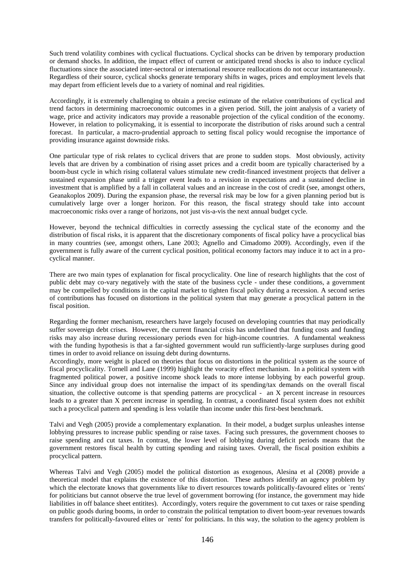Such trend volatility combines with cyclical fluctuations. Cyclical shocks can be driven by temporary production or demand shocks. In addition, the impact effect of current or anticipated trend shocks is also to induce cyclical fluctuations since the associated inter-sectoral or international resource reallocations do not occur instantaneously. Regardless of their source, cyclical shocks generate temporary shifts in wages, prices and employment levels that may depart from efficient levels due to a variety of nominal and real rigidities.

Accordingly, it is extremely challenging to obtain a precise estimate of the relative contributions of cyclical and trend factors in determining macroeconomic outcomes in a given period. Still, the joint analysis of a variety of wage, price and activity indicators may provide a reasonable projection of the cylical condition of the economy. However, in relation to policymaking, it is essential to incorporate the distribution of risks around such a central forecast. In particular, a macro-prudential approach to setting fiscal policy would recognise the importance of providing insurance against downside risks.

One particular type of risk relates to cyclical drivers that are prone to sudden stops. Most obviously, activity levels that are driven by a combination of rising asset prices and a credit boom are typically characterised by a boom-bust cycle in which rising collateral values stimulate new credit-financed investment projects that deliver a sustained expansion phase until a trigger event leads to a revision in expectations and a sustained decline in investment that is amplified by a fall in collateral values and an increase in the cost of credit (see, amongst others, Geanakoplos 2009). During the expansion phase, the reversal risk may be low for a given planning period but is cumulatively large over a longer horizon. For this reason, the fiscal strategy should take into account macroeconomic risks over a range of horizons, not just vis-a-vis the next annual budget cycle.

However, beyond the technical difficulties in correctly assessing the cyclical state of the economy and the distribution of fiscal risks, it is apparent that the discretionary components of fiscal policy have a procyclical bias in many countries (see, amongst others, Lane 2003; Agnello and Cimadomo 2009). Accordingly, even if the government is fully aware of the current cyclical position, political economy factors may induce it to act in a procyclical manner.

There are two main types of explanation for fiscal procyclicality. One line of research highlights that the cost of public debt may co-vary negatively with the state of the business cycle - under these conditions, a government may be compelled by conditions in the capital market to tighten fiscal policy during a recession. A second series of contributions has focused on distortions in the political system that may generate a procyclical pattern in the fiscal position.

Regarding the former mechanism, researchers have largely focused on developing countries that may periodically suffer sovereign debt crises. However, the current financial crisis has underlined that funding costs and funding risks may also increase during recessionary periods even for high-income countries. A fundamental weakness with the funding hypothesis is that a far-sighted government would run sufficiently-large surpluses during good times in order to avoid reliance on issuing debt during downturns.

Accordingly, more weight is placed on theories that focus on distortions in the political system as the source of fiscal procyclicality. Tornell and Lane (1999) highlight the voracity effect mechanism. In a political system with fragmented political power, a positive income shock leads to more intense lobbying by each powerful group. Since any individual group does not internalise the impact of its spending/tax demands on the overall fiscal situation, the collective outcome is that spending patterns are procyclical - an X percent increase in resources leads to a greater than X percent increase in spending. In contrast, a coordinated fiscal system does not exhibit such a procyclical pattern and spending is less volatile than income under this first-best benchmark.

Talvi and Vegh (2005) provide a complementary explanation. In their model, a budget surplus unleashes intense lobbying pressures to increase public spending or raise taxes. Facing such pressures, the government chooses to raise spending and cut taxes. In contrast, the lower level of lobbying during deficit periods means that the government restores fiscal health by cutting spending and raising taxes. Overall, the fiscal position exhibits a procyclical pattern.

Whereas Talvi and Vegh (2005) model the political distortion as exogenous, Alesina et al (2008) provide a theoretical model that explains the existence of this distortion. These authors identify an agency problem by which the electorate knows that governments like to divert resources towards politically-favoured elites or `rents' for politicians but cannot observe the true level of government borrowing (for instance, the government may hide liabilities in off balance sheet entitites). Accordingly, voters require the government to cut taxes or raise spending on public goods during booms, in order to constrain the political temptation to divert boom-year revenues towards transfers for politically-favoured elites or `rents' for politicians. In this way, the solution to the agency problem is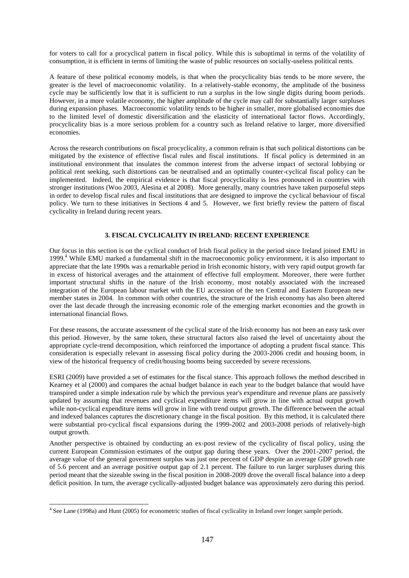for voters to call for a procyclical pattern in fiscal policy. While this is suboptimal in terms of the volatility of consumption, it is efficient in terms of limiting the waste of public resources on socially-useless political rents.

A feature of these political economy models, is that when the procyclicality bias tends to be more severe, the greater is the level of macroeconomic volatility. In a relatively-stable economy, the amplitude of the business cycle may be sufficiently low that it is sufficient to run a surplus in the low single digits during boom periods. However, in a more volatile economy, the higher amplitude of the cycle may call for substantially larger surpluses during expansion phases. Macroeconomic volatility tends to be higher in smaller, more globalised economies due to the limited level of domestic diversification and the elasticity of international factor flows. Accordingly, procyclicality bias is a more serious problem for a country such as Ireland relative to larger, more diversified economies.

Across the research contributions on fiscal procyclicality, a common refrain is that such political distortions can be mitigated by the existence of effective fiscal rules and fiscal institutions. If fiscal policy is determined in an institutional environment that insulates the common interest from the adverse impact of sectoral lobbying or political rent seeking, such distortions can be neutralised and an optimally counter-cyclical fiscal policy can be implemented. Indeed, the empirical evidence is that fiscal procyclicality is less pronounced in countries with stronger institutions (Woo 2003, Alesina et al 2008). More generally, many countries have taken purposeful steps in order to develop fiscal rules and fiscal institutions that are designed to improve the cyclical behaviour of fiscal policy. We turn to these initiatives in Sections 4 and 5. However, we first briefly review the pattern of fiscal cyclicality in Ireland during recent years.

# **3. FISCAL CYCLICALITY IN IRELAND: RECENT EXPERIENCE**

Our focus in this section is on the cyclical conduct of Irish fiscal policy in the period since Ireland joined EMU in 1999.<sup>4</sup> While EMU marked a fundamental shift in the macroeconomic policy environment, it is also important to appreciate that the late 1990s was a remarkable period in Irish economic history, with very rapid output growth far in excess of historical averages and the attainment of effective full employment. Moreover, there were further important structural shifts in the nature of the Irish economy, most notably associated with the increased integration of the European labour market with the EU accession of the ten Central and Eastern European new member states in 2004. In common with other countries, the structure of the Irish economy has also been altered over the last decade through the increasing economic role of the emerging market economies and the growth in international financial flows.

For these reasons, the accurate assessment of the cyclical state of the Irish economy has not been an easy task over this period. However, by the same token, these structural factors also raised the level of uncertainty about the appropriate cycle-trend decomposition, which reinforced the importance of adopting a prudent fiscal stance. This consideration is especially relevant in assessing fiscal policy during the 2003-2006 credit and housing boom, in view of the historical frequency of credit/housing booms being succeeded by severe recessions.

ESRI (2009) have provided a set of estimates for the fiscal stance. This approach follows the method described in Kearney et al (2000) and compares the actual budget balance in each year to the budget balance that would have transpired under a simple indexation rule by which the previous year's expenditure and revenue plans are passively updated by assuming that revenues and cyclical expenditure items will grow in line with actual output growth while non-cyclical expenditure items will grow in line with trend output growth. The difference between the actual and indexed balances captures the discretionary change in the fiscal position. By this method, it is calculated there were substantial pro-cyclical fiscal expansions during the 1999-2002 and 2003-2008 periods of relatively-high output growth.

Another perspective is obtained by conducting an ex-post review of the cyclicality of fiscal policy, using the current European Commission estimates of the output gap during these years. Over the 2001-2007 period, the average value of the general government surplus was just one percent of GDP despite an average GDP growth rate of 5.6 percent and an average positive output gap of 2.1 percent. The failure to run larger surpluses during this period meant that the sizeable swing in the fiscal position in 2008-2009 drove the overall fiscal balance into a deep deficit position. In turn, the average cyclically-adjusted budget balance was approximately zero during this period.

 4 See Lane (1998a) and Hunt (2005) for econometric studies of fiscal cyclicality in Ireland over longer sample periods.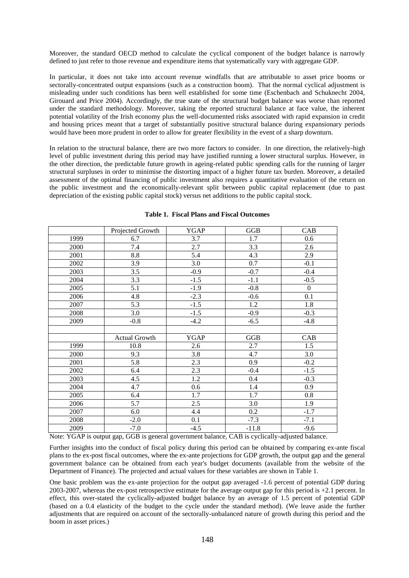Moreover, the standard OECD method to calculate the cyclical component of the budget balance is narrowly defined to just refer to those revenue and expenditure items that systematically vary with aggregate GDP.

In particular, it does not take into account revenue windfalls that are attributable to asset price booms or sectorally-concentrated output expansions (such as a construction boom). That the normal cyclical adjustment is misleading under such conditions has been well established for some time (Eschenbach and Schuknecht 2004, Girouard and Price 2004). Accordingly, the true state of the structural budget balance was worse than reported under the standard methodology. Moreover, taking the reported structural balance at face value, the inherent potential volatility of the Irish economy plus the well-documented risks associated with rapid expansion in credit and housing prices meant that a target of substantially positive structural balance during expansionary periods would have been more prudent in order to allow for greater flexibility in the event of a sharp downturn.

In relation to the structural balance, there are two more factors to consider. In one direction, the relatively-high level of public investment during this period may have justified running a lower structural surplus. However, in the other direction, the predictable future growth in ageing-related public spending calls for the running of larger structural surpluses in order to minimise the distorting impact of a higher future tax burden. Moreover, a detailed assessment of the optimal financing of public investment also requires a quantitative evaluation of the return on the public investment and the economically-relevant split between public capital replacement (due to past depreciation of the existing public capital stock) versus net additions to the public capital stock.

|      | Projected Growth | <b>YGAP</b> | GGB     | CAB              |
|------|------------------|-------------|---------|------------------|
| 1999 | 6.7              | 3.7         | 1.7     | 0.6              |
| 2000 | 7.4              | 2.7         | 3.3     | 2.6              |
| 2001 | $\!\!\!\!\!8.8$  | 5.4         | 4.3     | 2.9              |
| 2002 | 3.9              | 3.0         | 0.7     | $-0.1$           |
| 2003 | 3.5              | $-0.9$      | $-0.7$  | $-0.4$           |
| 2004 | 3.3              | $-1.5$      | $-1.1$  | $-0.5$           |
| 2005 | 5.1              | $-1.9$      | $-0.8$  | $\boldsymbol{0}$ |
| 2006 | 4.8              | $-2.3$      | $-0.6$  | 0.1              |
| 2007 | 5.3              | $-1.5$      | 1.2     | 1.8              |
| 2008 | 3.0              | $-1.5$      | $-0.9$  | $-0.3$           |
| 2009 | $-0.8$           | $-4.2$      | $-6.5$  | $-4.8$           |
|      |                  |             |         |                  |
|      | Actual Growth    | <b>YGAP</b> | GGB     | CAB              |
| 1999 | 10.8             | 2.6         | 2.7     | 1.5              |
| 2000 | 9.3              | 3.8         | 4.7     | 3.0              |
| 2001 | 5.8              | 2.3         | 0.9     | $-0.2$           |
| 2002 | 6.4              | 2.3         | $-0.4$  | $-1.5$           |
| 2003 | 4.5              | 1.2         | 0.4     | $-0.3$           |
| 2004 | 4.7              | 0.6         | 1.4     | 0.9              |
| 2005 | 6.4              | 1.7         | 1.7     | $0.8\,$          |
| 2006 | 5.7              | 2.5         | 3.0     | 1.9              |
| 2007 | 6.0              | 4.4         | 0.2     | $-1.7$           |
| 2008 | $-2.0$           | 0.1         | $-7.3$  | $-7.1$           |
| 2009 | $-7.0$           | $-4.5$      | $-11.8$ | $-9.6$           |

### **Table 1. Fiscal Plans and Fiscal Outcomes**

Note: YGAP is output gap, GGB is general government balance, CAB is cyclically-adjusted balance.

Further insights into the conduct of fiscal policy during this period can be obtained by comparing ex-ante fiscal plans to the ex-post fiscal outcomes, where the ex-ante projections for GDP growth, the output gap and the general government balance can be obtained from each year's budget documents (available from the website of the Department of Finance). The projected and actual values for these variables are shown in Table 1.

One basic problem was the ex-ante projection for the output gap averaged -1.6 percent of potential GDP during 2003-2007, whereas the ex-post retrospective estimate for the average output gap for this period is +2.1 percent. In effect, this over-stated the cyclically-adjusted budget balance by an average of 1.5 percent of potential GDP (based on a 0.4 elasticity of the budget to the cycle under the standard method). (We leave aside the further adjustments that are required on account of the sectorally-unbalanced nature of growth during this period and the boom in asset prices.)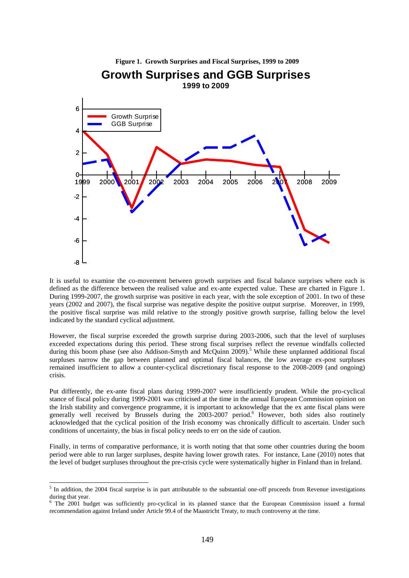

It is useful to examine the co-movement between growth surprises and fiscal balance surprises where each is defined as the difference between the realised value and ex-ante expected value. These are charted in Figure 1. During 1999-2007, the growth surprise was positive in each year, with the sole exception of 2001. In two of these years (2002 and 2007), the fiscal surprise was negative despite the positive output surprise. Moreover, in 1999, the positive fiscal surprise was mild relative to the strongly positive growth surprise, falling below the level indicated by the standard cyclical adjustment.

However, the fiscal surprise exceeded the growth surprise during 2003-2006, such that the level of surpluses exceeded expectations during this period. These strong fiscal surprises reflect the revenue windfalls collected during this boom phase (see also Addison-Smyth and McQuinn 2009).<sup>5</sup> While these unplanned additional fiscal surpluses narrow the gap between planned and optimal fiscal balances, the low average ex-post surpluses remained insufficient to allow a counter-cyclical discretionary fiscal response to the 2008-2009 (and ongoing) crisis.

Put differently, the ex-ante fiscal plans during 1999-2007 were insufficiently prudent. While the pro-cyclical stance of fiscal policy during 1999-2001 was criticised at the time in the annual European Commission opinion on the Irish stability and convergence programme, it is important to acknowledge that the ex ante fiscal plans were generally well received by Brussels during the 2003-2007 period.<sup>6</sup> However, both sides also routinely acknowledged that the cyclical position of the Irish economy was chronically difficult to ascertain. Under such conditions of uncertainty, the bias in fiscal policy needs to err on the side of caution.

Finally, in terms of comparative performance, it is worth noting that that some other countries during the boom period were able to run larger surpluses, despite having lower growth rates. For instance, Lane (2010) notes that the level of budget surpluses throughout the pre-crisis cycle were systematically higher in Finland than in Ireland.

 5 In addition, the 2004 fiscal surprise is in part attributable to the substantial one-off proceeds from Revenue investigations during that year.

<sup>&</sup>lt;sup>6</sup> The 2001 budget was sufficiently pro-cyclical in its planned stance that the European Commission issued a formal recommendation against Ireland under Article 99.4 of the Maastricht Treaty, to much controversy at the time.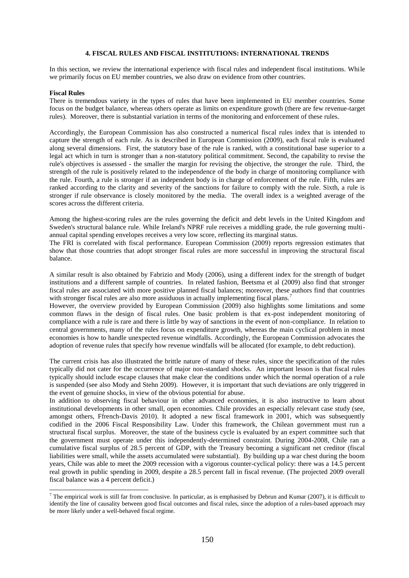### **4. FISCAL RULES AND FISCAL INSTITUTIONS: INTERNATIONAL TRENDS**

In this section, we review the international experience with fiscal rules and independent fiscal institutions. While we primarily focus on EU member countries, we also draw on evidence from other countries.

#### **Fiscal Rules**

1

There is tremendous variety in the types of rules that have been implemented in EU member countries. Some focus on the budget balance, whereas others operate as limits on expenditure growth (there are few revenue-target rules). Moreover, there is substantial variation in terms of the monitoring and enforcement of these rules.

Accordingly, the European Commission has also constructed a numerical fiscal rules index that is intended to capture the strength of each rule. As is described in European Commission (2009), each fiscal rule is evaluated along several dimensions. First, the statutory base of the rule is ranked, with a constitutional base superior to a legal act which in turn is stronger than a non-statutory political commitment. Second, the capability to revise the rule's objectives is assessed - the smaller the margin for revising the objective, the stronger the rule. Third, the strength of the rule is positively related to the independence of the body in charge of monitoring compliance with the rule. Fourth, a rule is stronger if an independent body is in charge of enforcement of the rule. Fifth, rules are ranked according to the clarity and severity of the sanctions for failure to comply with the rule. Sixth, a rule is stronger if rule observance is closely monitored by the media. The overall index is a weighted average of the scores across the different criteria.

Among the highest-scoring rules are the rules governing the deficit and debt levels in the United Kingdom and Sweden's structural balance rule. While Ireland's NPRF rule receives a middling grade, the rule governing multiannual capital spending envelopes receives a very low score, reflecting its marginal status.

The FRI is correlated with fiscal performance. European Commission (2009) reports regression estimates that show that those countries that adopt stronger fiscal rules are more successful in improving the structural fiscal balance.

A similar result is also obtained by Fabrizio and Mody (2006), using a different index for the strength of budget institutions and a different sample of countries. In related fashion, Beetsma et al (2009) also find that stronger fiscal rules are associated with more positive planned fiscal balances; moreover, these authors find that countries with stronger fiscal rules are also more assiduous in actually implementing fiscal plans.<sup>7</sup>

However, the overview provided by European Commission (2009) also highlights some limitations and some common flaws in the design of fiscal rules. One basic problem is that ex-post independent monitoring of compliance with a rule is rare and there is little by way of sanctions in the event of non-compliance. In relation to central governments, many of the rules focus on expenditure growth, whereas the main cyclical problem in most economies is how to handle unexpected revenue windfalls. Accordingly, the European Commission advocates the adoption of revenue rules that specify how revenue windfalls will be allocated (for example, to debt reduction).

The current crisis has also illustrated the brittle nature of many of these rules, since the specification of the rules typically did not cater for the occurrence of major non-standard shocks. An important lesson is that fiscal rules typically should include escape clauses that make clear the conditions under which the normal operation of a rule is suspended (see also Mody and Stehn 2009). However, it is important that such deviations are only triggered in the event of genuine shocks, in view of the obvious potential for abuse.

In addition to observing fiscal behaviour in other advanced economies, it is also instructive to learn about institutional developments in other small, open economies. Chile provides an especially relevant case study (see, amongst others, Ffrench-Davis 2010). It adopted a new fiscal framework in 2001, which was subsequently codified in the 2006 Fiscal Responsibility Law. Under this framework, the Chilean government must run a structural fiscal surplus. Moreover, the state of the business cycle is evaluated by an expert committee such that the government must operate under this independently-determined constraint. During 2004-2008, Chile ran a cumulative fiscal surplus of 28.5 percent of GDP, with the Treasury becoming a significant net creditor (fiscal liabilities were small, while the assets accumulated were substantial). By building up a war chest during the boom years, Chile was able to meet the 2009 recession with a vigorous counter-cyclical policy: there was a 14.5 percent real growth in public spending in 2009, despite a 28.5 percent fall in fiscal revenue. (The projected 2009 overall fiscal balance was a 4 percent deficit.)

<sup>&</sup>lt;sup>7</sup> The empirical work is still far from conclusive. In particular, as is emphasised by Debrun and Kumar (2007), it is difficult to identify the line of causality between good fiscal outcomes and fiscal rules, since the adoption of a rules-based approach may be more likely under a well-behaved fiscal regime.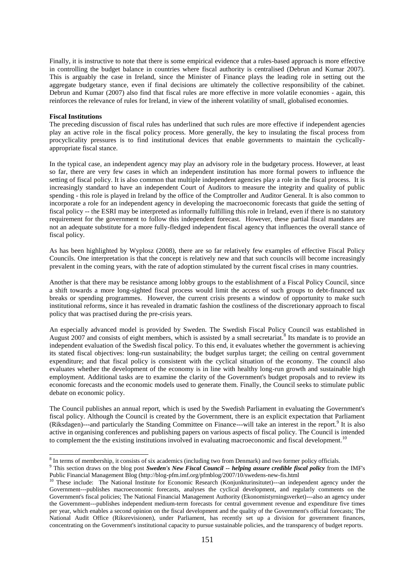Finally, it is instructive to note that there is some empirical evidence that a rules-based approach is more effective in controlling the budget balance in countries where fiscal authority is centralised (Debrun and Kumar 2007). This is arguably the case in Ireland, since the Minister of Finance plays the leading role in setting out the aggregate budgetary stance, even if final decisions are ultimately the collective responsibility of the cabinet. Debrun and Kumar (2007) also find that fiscal rules are more effective in more volatile economies - again, this reinforces the relevance of rules for Ireland, in view of the inherent volatility of small, globalised economies.

### **Fiscal Institutions**

1

The preceding discussion of fiscal rules has underlined that such rules are more effective if independent agencies play an active role in the fiscal policy process. More generally, the key to insulating the fiscal process from procyclicality pressures is to find institutional devices that enable governments to maintain the cyclicallyappropriate fiscal stance.

In the typical case, an independent agency may play an advisory role in the budgetary process. However, at least so far, there are very few cases in which an independent institution has more formal powers to influence the setting of fiscal policy. It is also common that multiple independent agencies play a role in the fiscal process. It is increasingly standard to have an independent Court of Auditors to measure the integrity and quality of public spending - this role is played in Ireland by the office of the Comptroller and Auditor General. It is also common to incorporate a role for an independent agency in developing the macroeconomic forecasts that guide the setting of fiscal policy -- the ESRI may be interpreted as informally fulfilling this role in Ireland, even if there is no statutory requirement for the government to follow this independent forecast. However, these partial fiscal mandates are not an adequate substitute for a more fully-fledged independent fiscal agency that influences the overall stance of fiscal policy.

As has been highlighted by Wyplosz (2008), there are so far relatively few examples of effective Fiscal Policy Councils. One interpretation is that the concept is relatively new and that such councils will become increasingly prevalent in the coming years, with the rate of adoption stimulated by the current fiscal crises in many countries.

Another is that there may be resistance among lobby groups to the establishment of a Fiscal Policy Council, since a shift towards a more long-sighted fiscal process would limit the access of such groups to debt-financed tax breaks or spending programmes. However, the current crisis presents a window of opportunity to make such institutional reforms, since it has revealed in dramatic fashion the costliness of the discretionary approach to fiscal policy that was practised during the pre-crisis years.

An especially advanced model is provided by Sweden. The Swedish Fiscal Policy Council was established in August 2007 and consists of eight members, which is assisted by a small secretariat.<sup>8</sup> Its mandate is to provide an independent evaluation of the Swedish fiscal policy. To this end, it evaluates whether the government is achieving its stated fiscal objectives: long-run sustainability; the budget surplus target; the ceiling on central government expenditure; and that fiscal policy is consistent with the cyclical situation of the economy. The council also evaluates whether the development of the economy is in line with healthy long-run growth and sustainable high employment. Additional tasks are to examine the clarity of the Government's budget proposals and to review its economic forecasts and the economic models used to generate them. Finally, the Council seeks to stimulate public debate on economic policy.

The Council publishes an annual report, which is used by the Swedish Parliament in evaluating the Government's fiscal policy. Although the Council is created by the Government, there is an explicit expectation that Parliament (Riksdagen)---and particularly the Standing Committee on Finance---will take an interest in the report.<sup>9</sup> It is also active in organising conferences and publishing papers on various aspects of fiscal policy. The Council is intended to complement the the existing institutions involved in evaluating macroeconomic and fiscal development.<sup>10</sup>

<sup>&</sup>lt;sup>8</sup> In terms of membership, it consists of six academics (including two from Denmark) and two former policy officials.

<sup>9</sup> This section draws on the blog post *Sweden's New Fiscal Council -- helping assure credible fiscal policy* from the IMF's Public Financial Management Blog (http://blog-pfm.imf.org/pfmblog/2007/10/swedens-new-fis.html

<sup>&</sup>lt;sup>10</sup> These include: The National Institute for Economic Research (Konjunkturinsitutet)---an independent agency under the Government---publishes macroeconomic forecasts, analyses the cyclical development, and regularly comments on the Government's fiscal policies; The National Financial Management Authority (Ekonomistyrningsverket)---also an agency under the Government---publishes independent medium-term forecasts for central government revenue and expenditure five times per year, which enables a second opinion on the fiscal development and the quality of the Government's official forecasts; The National Audit Office (Riksrevisionen), under Parliament, has recently set up a division for government finances, concentrating on the Government's institutional capacity to pursue sustainable policies, and the transparency of budget reports.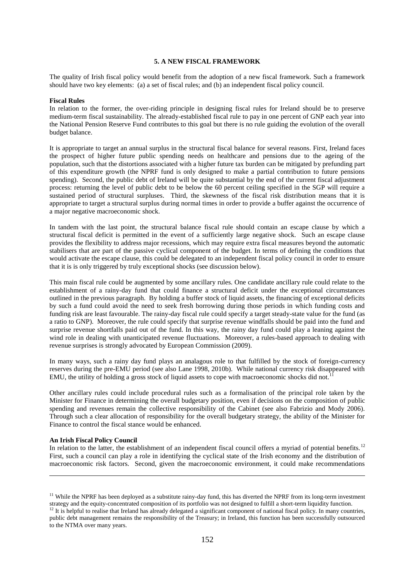#### **5. A NEW FISCAL FRAMEWORK**

The quality of Irish fiscal policy would benefit from the adoption of a new fiscal framework. Such a framework should have two key elements: (a) a set of fiscal rules; and (b) an independent fiscal policy council.

### **Fiscal Rules**

In relation to the former, the over-riding principle in designing fiscal rules for Ireland should be to preserve medium-term fiscal sustainability. The already-established fiscal rule to pay in one percent of GNP each year into the National Pension Reserve Fund contributes to this goal but there is no rule guiding the evolution of the overall budget balance.

It is appropriate to target an annual surplus in the structural fiscal balance for several reasons. First, Ireland faces the prospect of higher future public spending needs on healthcare and pensions due to the ageing of the population, such that the distortions associated with a higher future tax burden can be mitigated by prefunding part of this expenditure growth (the NPRF fund is only designed to make a partial contribution to future pensions spending). Second, the public debt of Ireland will be quite substantial by the end of the current fiscal adjustment process: returning the level of public debt to be below the 60 percent ceiling specified in the SGP will require a sustained period of structural surpluses. Third, the skewness of the fiscal risk distribution means that it is appropriate to target a structural surplus during normal times in order to provide a buffer against the occurrence of a major negative macroeconomic shock.

In tandem with the last point, the structural balance fiscal rule should contain an escape clause by which a structural fiscal deficit is permitted in the event of a sufficiently large negative shock. Such an escape clause provides the flexibility to address major recessions, which may require extra fiscal measures beyond the automatic stabilisers that are part of the passive cyclical component of the budget. In terms of defining the conditions that would activate the escape clause, this could be delegated to an independent fiscal policy council in order to ensure that it is is only triggered by truly exceptional shocks (see discussion below).

This main fiscal rule could be augmented by some ancillary rules. One candidate ancillary rule could relate to the establishment of a rainy-day fund that could finance a structural deficit under the exceptional circumstances outlined in the previous paragraph. By holding a buffer stock of liquid assets, the financing of exceptional deficits by such a fund could avoid the need to seek fresh borrowing during those periods in which funding costs and funding risk are least favourable. The rainy-day fiscal rule could specify a target steady-state value for the fund (as a ratio to GNP). Moreover, the rule could specify that surprise revenue windfalls should be paid into the fund and surprise revenue shortfalls paid out of the fund. In this way, the rainy day fund could play a leaning against the wind role in dealing with unanticipated revenue fluctuations. Moreover, a rules-based approach to dealing with revenue surprises is strongly advocated by European Commission (2009).

In many ways, such a rainy day fund plays an analagous role to that fulfilled by the stock of foreign-currency reserves during the pre-EMU period (see also Lane 1998, 2010b). While national currency risk disappeared with EMU, the utility of holding a gross stock of liquid assets to cope with macroeconomic shocks did not.<sup>11</sup>

Other ancillary rules could include procedural rules such as a formalisation of the principal role taken by the Minister for Finance in determining the overall budgetary position, even if decisions on the composition of public spending and revenues remain the collective responsibility of the Cabinet (see also Fabrizio and Mody 2006). Through such a clear allocation of responsibility for the overall budgetary strategy, the ability of the Minister for Finance to control the fiscal stance would be enhanced.

### **An Irish Fiscal Policy Council**

-

In relation to the latter, the establishment of an independent fiscal council offers a myriad of potential benefits.<sup>12</sup> First, such a council can play a role in identifying the cyclical state of the Irish economy and the distribution of macroeconomic risk factors. Second, given the macroeconomic environment, it could make recommendations

<sup>&</sup>lt;sup>11</sup> While the NPRF has been deployed as a substitute rainy-day fund, this has diverted the NPRF from its long-term investment strategy and the equity-concentrated composition of its portfolio was not designed to fulfill a short-term liquidity function.

 $12$  It is helpful to realise that Ireland has already delegated a significant component of national fiscal policy. In many countries, public debt management remains the responsibility of the Treasury; in Ireland, this function has been successfully outsourced to the NTMA over many years.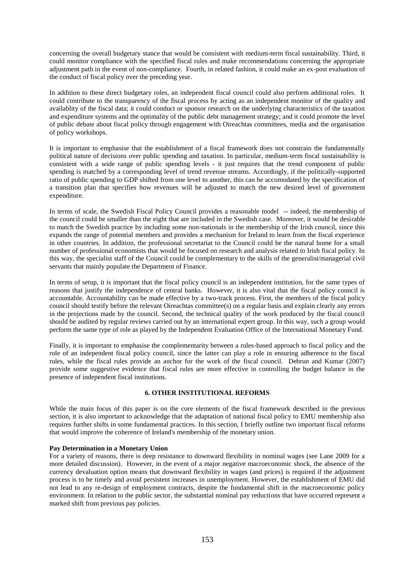concerning the overall budgetary stance that would be consistent with medium-term fiscal sustainability. Third, it could monitor compliance with the specified fiscal rules and make recommendations concerning the appropriate adjustment path in the event of non-compliance. Fourth, in related fashion, it could make an ex-post evaluation of the conduct of fiscal policy over the preceding year.

In addition to these direct budgetary roles, an independent fiscal council could also perform additional roles. It could contribute to the transparency of the fiscal process by acting as an independent monitor of the quality and availablity of the fiscal data; it could conduct or sponsor research on the underlying characteristics of the taxation and expenditure systems and the optimality of the public debt management strategy; and it could promote the level of public debate about fiscal policy through engagement with Oireachtas committees, media and the organisation of policy workshops.

It is important to emphasise that the establishment of a fiscal framework does not constrain the fundamentally political nature of decisions over public spending and taxation. In particular, medium-term fiscal sustainability is consistent with a wide range of public spending levels - it just requires that the trend component of public spending is matched by a corresponding level of trend revenue streams. Accordingly, if the politically-supported ratio of public spending to GDP shifted from one level to another, this can be accomodated by the specification of a transition plan that specifies how revenues will be adjusted to match the new desired level of government expenditure.

In terms of scale, the Swedish Fiscal Policy Council provides a reasonable model -- indeed, the membership of the council could be smaller than the eight that are included in the Swedish case. Moreover, it would be desirable to match the Swedish practice by including some non-nationals in the membership of the Irish council, since this expands the range of potential members and provides a mechanism for Ireland to learn from the fiscal experience in other countries. In addition, the professional secretariat to the Council could be the natural home for a small number of professional economists that would be focused on research and analysis related to Irish fiscal policy. In this way, the specialist staff of the Council could be complementary to the skills of the generalist/managerial civil servants that mainly populate the Department of Finance.

In terms of setup, it is important that the fiscal policy council is an independent institution, for the same types of reasons that justify the independence of central banks. However, it is also vital that the fiscal policy council is accountable. Accountability can be made effective by a two-track process. First, the members of the fiscal policy council should testify before the relevant Oireachtas committee(s) on a regular basis and explain clearly any errors in the projections made by the council. Second, the technical quality of the work produced by the fiscal council should be audited by regular reviews carried out by an international expert group. In this way, such a group would perform the same type of role as played by the Independent Evaluation Office of the International Monetary Fund.

Finally, it is important to emphasise the complementarity between a rules-based approach to fiscal policy and the role of an independent fiscal policy council, since the latter can play a role in ensuring adherence to the fiscal rules, while the fiscal rules provide an anchor for the work of the fiscal council. Debrun and Kumar (2007) provide some suggestive evidence that fiscal rules are more effective in controlling the budget balance in the presence of independent fiscal institutions.

#### **6. OTHER INSTITUTIONAL REFORMS**

While the main focus of this paper is on the core elements of the fiscal framework described in the previous section, it is also important to acknowledge that the adaptation of national fiscal policy to EMU membership also requires further shifts in some fundamental practices. In this section, I briefly outline two important fiscal reforms that would improve the coherence of Ireland's membership of the monetary union.

#### **Pay Determination in a Monetary Union**

For a variety of reasons, there is deep resistance to downward flexibility in nominal wages (see Lane 2009 for a more detailed discussion). However, in the event of a major negative macroeconomic shock, the absence of the currency devaluation option means that downward flexibility in wages (and prices) is required if the adjustment process is to be timely and avoid persistent increases in unemployment. However, the establishment of EMU did not lead to any re-design of employment contracts, despite the fundamental shift in the macroeconomic policy environment. In relation to the public sector, the substantial nominal pay reductions that have occurred represent a marked shift from previous pay policies.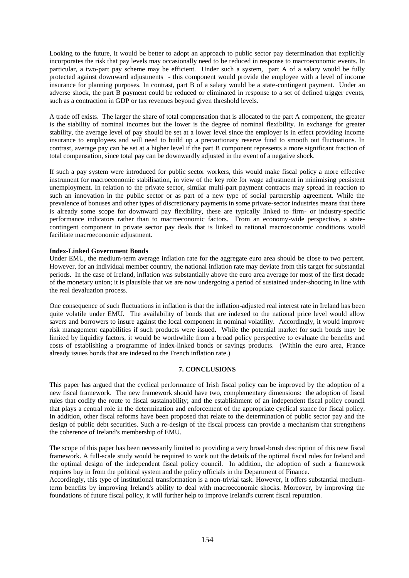Looking to the future, it would be better to adopt an approach to public sector pay determination that explicitly incorporates the risk that pay levels may occasionally need to be reduced in response to macroeconomic events. In particular, a two-part pay scheme may be efficient. Under such a system, part A of a salary would be fully protected against downward adjustments - this component would provide the employee with a level of income insurance for planning purposes. In contrast, part B of a salary would be a state-contingent payment. Under an adverse shock, the part B payment could be reduced or eliminated in response to a set of defined trigger events, such as a contraction in GDP or tax revenues beyond given threshold levels.

A trade off exists. The larger the share of total compensation that is allocated to the part A component, the greater is the stability of nominal incomes but the lower is the degree of nominal flexibility. In exchange for greater stability, the average level of pay should be set at a lower level since the employer is in effect providing income insurance to employees and will need to build up a precautionary reserve fund to smooth out fluctuations. In contrast, average pay can be set at a higher level if the part B component represents a more significant fraction of total compensation, since total pay can be downwardly adjusted in the event of a negative shock.

If such a pay system were introduced for public sector workers, this would make fiscal policy a more effective instrument for macroeconomic stabilisation, in view of the key role for wage adjustment in minimising persistent unemployment. In relation to the private sector, similar multi-part payment contracts may spread in reaction to such an innovation in the public sector or as part of a new type of social partnership agreement. While the prevalence of bonuses and other types of discretionary payments in some private-sector industries means that there is already some scope for downward pay flexibility, these are typically linked to firm- or industry-specific performance indicators rather than to macroeconomic factors. From an economy-wide perspective, a statecontingent component in private sector pay deals that is linked to national macroeconomic conditions would facilitate macroeconomic adjustment.

### **Index-Linked Government Bonds**

Under EMU, the medium-term average inflation rate for the aggregate euro area should be close to two percent. However, for an individual member country, the national inflation rate may deviate from this target for substantial periods. In the case of Ireland, inflation was substantially above the euro area average for most of the first decade of the monetary union; it is plausible that we are now undergoing a period of sustained under-shooting in line with the real devaluation process.

One consequence of such fluctuations in inflation is that the inflation-adjusted real interest rate in Ireland has been quite volatile under EMU. The availability of bonds that are indexed to the national price level would allow savers and borrowers to insure against the local component in nominal volatility. Accordingly, it would improve risk management capabilities if such products were issued. While the potential market for such bonds may be limited by liquidity factors, it would be worthwhile from a broad policy perspective to evaluate the benefits and costs of establishing a programme of index-linked bonds or savings products. (Within the euro area, France already issues bonds that are indexed to the French inflation rate.)

# **7. CONCLUSIONS**

This paper has argued that the cyclical performance of Irish fiscal policy can be improved by the adoption of a new fiscal framework. The new framework should have two, complementary dimensions: the adoption of fiscal rules that codify the route to fiscal sustainability; and the establishment of an independent fiscal policy council that plays a central role in the determination and enforcement of the appropriate cyclical stance for fiscal policy. In addition, other fiscal reforms have been proposed that relate to the determination of public sector pay and the design of public debt securities. Such a re-design of the fiscal process can provide a mechanism that strengthens the coherence of Ireland's membership of EMU.

The scope of this paper has been necessarily limited to providing a very broad-brush description of this new fiscal framework. A full-scale study would be required to work out the details of the optimal fiscal rules for Ireland and the optimal design of the independent fiscal policy council. In addition, the adoption of such a framework requires buy in from the political system and the policy officials in the Department of Finance.

Accordingly, this type of institutional transformation is a non-trivial task. However, it offers substantial mediumterm benefits by improving Ireland's ability to deal with macroeconomic shocks. Moreover, by improving the foundations of future fiscal policy, it will further help to improve Ireland's current fiscal reputation.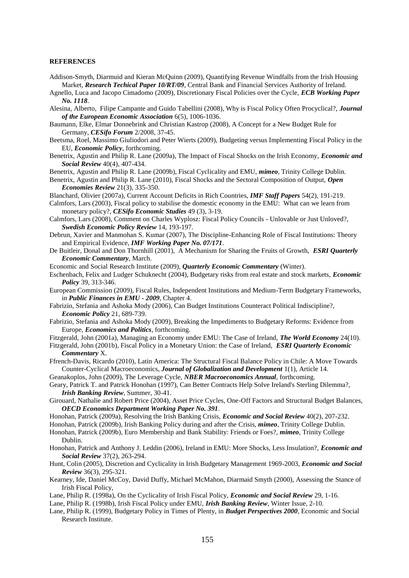#### **REFERENCES**

- Addison-Smyth, Diarmuid and Kieran McQuinn (2009), Quantifying Revenue Windfalls from the Irish Housing Market, *Research Techical Paper 10/RT/09*, Central Bank and Financial Services Authority of Ireland.
- Agnello, Luca and Jacopo Cimadomo (2009), Discretionary Fiscal Policies over the Cycle, *ECB Working Paper No. 1118*.
- Alesina, Alberto, Filipe Campante and Guido Tabellini (2008), Why is Fiscal Policy Often Procyclical?, *Journal of the European Economic Association* 6(5), 1006-1036.
- Baumann, Elke, Elmar Donnebrink and Christian Kastrop (2008), A Concept for a New Budget Rule for Germany, *CESifo Forum* 2/2008, 37-45.
- Beetsma, Roel, Massimo Giuliodori and Peter Wierts (2009), Budgeting versus Implementing Fiscal Policy in the EU, *Economic Policy*, forthcoming.
- Benetrix, Agustin and Philip R. Lane (2009a), The Impact of Fiscal Shocks on the Irish Economy, *Economic and Social Review* 40(4), 407-434.
- Benetrix, Agustin and Philip R. Lane (2009b), Fiscal Cyclicality and EMU, *mimeo*, Trinity College Dublin.
- Benetrix, Agustin and Philip R. Lane (2010), Fiscal Shocks and the Sectoral Composition of Output, *Open Economies Review* 21(3), 335-350.
- Blanchard, Olivier (2007a), Current Account Deficits in Rich Countries, *IMF Staff Papers* 54(2), 191-219.
- Calmfors, Lars (2003), Fiscal policy to stabilise the domestic economy in the EMU: What can we learn from monetary policy?, *CESifo Economic Studies* 49 (3), 3-19.
- Calmfors, Lars (2008), Comment on Charles Wyplosz: Fiscal Policy Councils Unlovable or Just Unloved?, *Swedish Economic Policy Review* 14, 193-197.
- Debrun, Xavier and Manmohan S. Kumar (2007), The Discipline-Enhancing Role of Fiscal Institutions: Theory and Empirical Evidence, *IMF Working Paper No. 07/171*.
- De Buitleir, Donal and Don Thornhill (2001), A Mechanism for Sharing the Fruits of Growth, *ESRI Quarterly Economic Commentary*, March.
- Economic and Social Research Institute (2009), *Quarterly Economic Commentary* (Winter).
- Eschenbach, Felix and Ludger Schuknecht (2004), Budgetary risks from real estate and stock markets, *Economic Policy* 39, 313-346.
- European Commission (2009), Fiscal Rules, Independent Institutions and Medium-Term Budgetary Frameworks, in *Public Finances in EMU - 2009*, Chapter 4.
- Fabrizio, Stefania and Ashoka Mody (2006), Can Budget Institutions Counteract Political Indiscipline?, *Economic Policy* 21, 689-739.
- Fabrizio, Stefania and Ashoka Mody (2009), Breaking the Impediments to Budgetary Reforms: Evidence from Europe, *Economics and Politics*, forthcoming.
- Fitzgerald, John (2001a), Managing an Economy under EMU: The Case of Ireland, *The World Economy* 24(10).

Fitzgerald, John (2001b), Fiscal Policy in a Monetary Union: the Case of Ireland, *ESRI Quarterly Economic Commentary* X.

- Ffrench-Davis, Ricardo (2010), Latin America: The Structural Fiscal Balance Policy in Chile: A Move Towards Counter-Cyclical Macroeconomics, *Journal of Globalization and Development* 1(1), Article 14.
- Geanakoplos, John (2009), The Leverage Cycle, *NBER Macroeconomics Annual*, forthcoming.
- Geary, Patrick T. and Patrick Honohan (1997), Can Better Contracts Help Solve Ireland's Sterling Dilemma?, *Irish Banking Review*, Summer, 30-41.
- Girouard, Nathalie and Robert Price (2004), Asset Price Cycles, One-Off Factors and Structural Budget Balances, *OECD Economics Department Working Paper No. 391*.
- Honohan, Patrick (2009a), Resolving the Irish Banking Crisis, *Economic and Social Review* 40(2), 207-232.
- Honohan, Patrick (2009b), Irish Banking Policy during and after the Crisis, *mimeo*, Trinity College Dublin.
- Honohan, Patrick (2009b), Euro Membership and Bank Stability: Friends or Foes?, *mimeo*, Trinity College Dublin.
- Honohan, Patrick and Anthony J. Leddin (2006), Ireland in EMU: More Shocks, Less Insulation?, *Economic and Social Review* 37(2), 263-294.
- Hunt, Colin (2005), Discretion and Cyclicality in Irish Budgetary Management 1969-2003, *Economic and Social Review* 36(3), 295-321.
- Kearney, Ide, Daniel McCoy, David Duffy, Michael McMahon, Diarmaid Smyth (2000), Assessing the Stance of Irish Fiscal Policy,
- Lane, Philip R. (1998a), On the Cyclicality of Irish Fiscal Policy, *Economic and Social Review* 29, 1-16.
- Lane, Philip R. (1998b), Irish Fiscal Policy under EMU, *Irish Banking Review*, Winter Issue, 2-10.
- Lane, Philip R. (1999), Budgetary Policy in Times of Plenty, in *Budget Perspectives 2000*, Economic and Social Research Institute.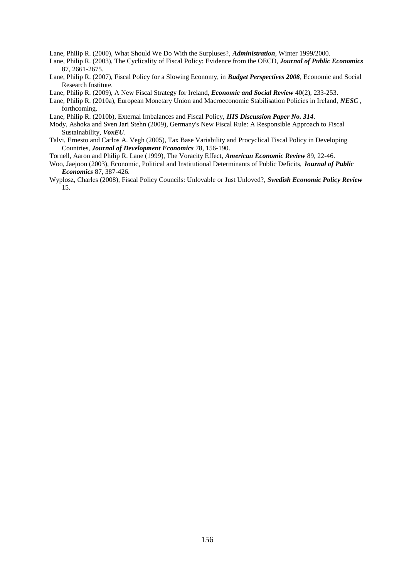Lane, Philip R. (2000), What Should We Do With the Surpluses?, *Administration*, Winter 1999/2000.

- Lane, Philip R. (2003), The Cyclicality of Fiscal Policy: Evidence from the OECD, *Journal of Public Economics* 87, 2661-2675.
- Lane, Philip R. (2007), Fiscal Policy for a Slowing Economy, in *Budget Perspectives 2008*, Economic and Social Research Institute.
- Lane, Philip R. (2009), A New Fiscal Strategy for Ireland, *Economic and Social Review* 40(2), 233-253.
- Lane, Philip R. (2010a), European Monetary Union and Macroeconomic Stabilisation Policies in Ireland, *NESC* , forthcoming.
- Lane, Philip R. (2010b), External Imbalances and Fiscal Policy, *IIIS Discussion Paper No. 314*.
- Mody, Ashoka and Sven Jari Stehn (2009), Germany's New Fiscal Rule: A Responsible Approach to Fiscal Sustainability, *VoxEU*.
- Talvi, Ernesto and Carlos A. Vegh (2005), Tax Base Variability and Procyclical Fiscal Policy in Developing Countries, *Journal of Development Economics* 78, 156-190.
- Tornell, Aaron and Philip R. Lane (1999), The Voracity Effect, *American Economic Review* 89, 22-46.
- Woo, Jaejoon (2003), Economic, Political and Institutional Determinants of Public Deficits, *Journal of Public Economics* 87, 387-426.
- Wyplosz, Charles (2008), Fiscal Policy Councils: Unlovable or Just Unloved?, *Swedish Economic Policy Review* 15.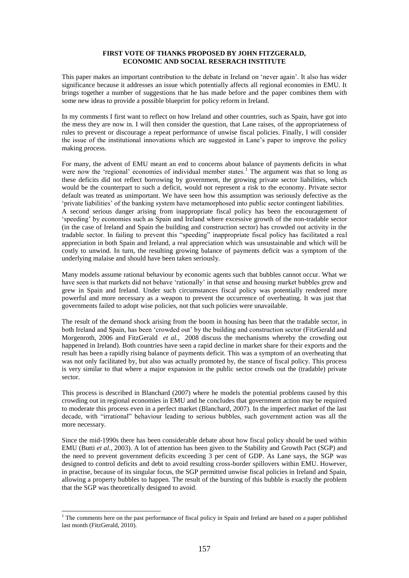### **FIRST VOTE OF THANKS PROPOSED BY JOHN FITZGERALD, ECONOMIC AND SOCIAL RESERACH INSTITUTE**

This paper makes an important contribution to the debate in Ireland on "never again". It also has wider significance because it addresses an issue which potentially affects all regional economies in EMU. It brings together a number of suggestions that he has made before and the paper combines them with some new ideas to provide a possible blueprint for policy reform in Ireland.

In my comments I first want to reflect on how Ireland and other countries, such as Spain, have got into the mess they are now in. I will then consider the question, that Lane raises, of the appropriateness of rules to prevent or discourage a repeat performance of unwise fiscal policies. Finally, I will consider the issue of the institutional innovations which are suggested in Lane"s paper to improve the policy making process.

For many, the advent of EMU meant an end to concerns about balance of payments deficits in what were now the 'regional' economies of individual member states.<sup>1</sup> The argument was that so long as these deficits did not reflect borrowing by government, the growing private sector liabilities, which would be the counterpart to such a deficit, would not represent a risk to the economy. Private sector default was treated as unimportant. We have seen how this assumption was seriously defective as the "private liabilities" of the banking system have metamorphosed into public sector contingent liabilities. A second serious danger arising from inappropriate fiscal policy has been the encouragement of "speeding" by economies such as Spain and Ireland where excessive growth of the non-tradable sector (in the case of Ireland and Spain the building and construction sector) has crowded out activity in the tradable sector. In failing to prevent this "speeding" inappropriate fiscal policy has facilitated a real appreciation in both Spain and Ireland, a real appreciation which was unsustainable and which will be costly to unwind. In turn, the resulting growing balance of payments deficit was a symptom of the underlying malaise and should have been taken seriously.

Many models assume rational behaviour by economic agents such that bubbles cannot occur. What we have seen is that markets did not behave "rationally" in that sense and housing market bubbles grew and grew in Spain and Ireland. Under such circumstances fiscal policy was potentially rendered more powerful and more necessary as a weapon to prevent the occurrence of overheating. It was just that governments failed to adopt wise policies, not that such policies were unavailable.

The result of the demand shock arising from the boom in housing has been that the tradable sector, in both Ireland and Spain, has been "crowded out" by the building and construction sector (FitzGerald and Morgenroth, 2006 and FitzGerald *et al.,* 2008 discuss the mechanisms whereby the crowding out happened in Ireland). Both countries have seen a rapid decline in market share for their exports and the result has been a rapidly rising balance of payments deficit. This was a symptom of an overheating that was not only facilitated by, but also was actually promoted by, the stance of fiscal policy. This process is very similar to that where a major expansion in the public sector crowds out the (tradable) private sector.

This process is described in Blanchard (2007) where he models the potential problems caused by this crowding out in regional economies in EMU and he concludes that government action may be required to moderate this process even in a perfect market (Blanchard, 2007). In the imperfect market of the last decade, with "irrational" behaviour leading to serious bubbles, such government action was all the more necessary.

Since the mid-1990s there has been considerable debate about how fiscal policy should be used within EMU (Butti *et al.*, 2003). A lot of attention has been given to the Stability and Growth Pact (SGP) and the need to prevent government deficits exceeding 3 per cent of GDP. As Lane says, the SGP was designed to control deficits and debt to avoid resulting cross-border spillovers within EMU. However, in practise, because of its singular focus, the SGP permitted unwise fiscal policies in Ireland and Spain, allowing a property bubbles to happen. The result of the bursting of this bubble is exactly the problem that the SGP was theoretically designed to avoid.

1

<sup>&</sup>lt;sup>1</sup> The comments here on the past performance of fiscal policy in Spain and Ireland are based on a paper published last month (FitzGerald, 2010).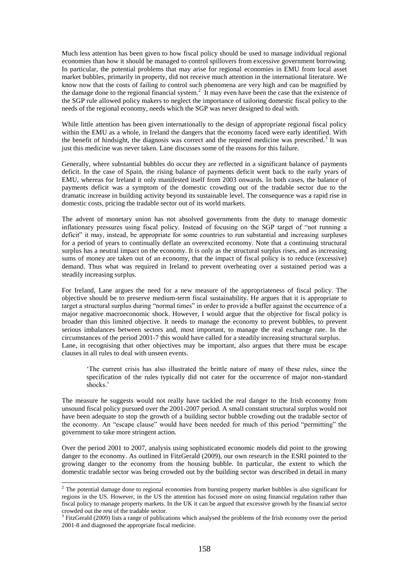Much less attention has been given to how fiscal policy should be used to manage individual regional economies than how it should be managed to control spillovers from excessive government borrowing. In particular, the potential problems that may arise for regional economies in EMU from local asset market bubbles, primarily in property, did not receive much attention in the international literature. We know now that the costs of failing to control such phenomena are very high and can be magnified by the damage done to the regional financial system.<sup>2</sup> It may even have been the case that the existence of the SGP rule allowed policy makers to neglect the importance of tailoring domestic fiscal policy to the needs of the regional economy, needs which the SGP was never designed to deal with.

While little attention has been given internationally to the design of appropriate regional fiscal policy within the EMU as a whole, in Ireland the dangers that the economy faced were early identified. With the benefit of hindsight, the diagnosis was correct and the required medicine was prescribed.<sup>3</sup> It was just this medicine was never taken. Lane discusses some of the reasons for this failure.

Generally, where substantial bubbles do occur they are reflected in a significant balance of payments deficit. In the case of Spain, the rising balance of payments deficit went back to the early years of EMU, whereas for Ireland it only manifested itself from 2003 onwards. In both cases, the balance of payments deficit was a symptom of the domestic crowding out of the tradable sector due to the dramatic increase in building activity beyond its sustainable level. The consequence was a rapid rise in domestic costs, pricing the tradable sector out of its world markets.

The advent of monetary union has not absolved governments from the duty to manage domestic inflationary pressures using fiscal policy. Instead of focusing on the SGP target of "not running a deficit" it may, instead, be appropriate for some countries to run substantial and increasing surpluses for a period of years to continually deflate an overexcited economy. Note that a continuing structural surplus has a neutral impact on the economy. It is only as the structural surplus rises, and as increasing sums of money are taken out of an economy, that the impact of fiscal policy is to reduce (excessive) demand. Thus what was required in Ireland to prevent overheating over a sustained period was a steadily increasing surplus.

For Ireland, Lane argues the need for a new measure of the appropriateness of fiscal policy. The objective should be to preserve medium-term fiscal sustainability. He argues that it is appropriate to target a structural surplus during "normal times" in order to provide a buffer against the occurrence of a major negative macroeconomic shock. However, I would argue that the objective for fiscal policy is broader than this limited objective. It needs to manage the economy to prevent bubbles, to prevent serious imbalances between sectors and, most important, to manage the real exchange rate. In the circumstances of the period 2001-7 this would have called for a steadily increasing structural surplus. Lane, in recognising that other objectives may be important, also argues that there must be escape clauses in all rules to deal with unseen events.

"The current crisis has also illustrated the brittle nature of many of these rules, since the specification of the rules typically did not cater for the occurrence of major non-standard shocks.'

The measure he suggests would not really have tackled the real danger to the Irish economy from unsound fiscal policy pursued over the 2001-2007 period. A small constant structural surplus would not have been adequate to stop the growth of a building sector bubble crowding out the tradable sector of the economy. An "escape clause" would have been needed for much of this period "permitting" the government to take more stringent action.

Over the period 2001 to 2007, analysis using sophisticated economic models did point to the growing danger to the economy. As outlined in FitzGerald (2009), our own research in the ESRI pointed to the growing danger to the economy from the housing bubble. In particular, the extent to which the domestic tradable sector was being crowded out by the building sector was described in detail in many

-

 $<sup>2</sup>$  The potential damage done to regional economies from bursting property market bubbles is also significant for</sup> regions in the US. However, in the US the attention has focused more on using financial regulation rather than fiscal policy to manage property markets. In the UK it can be argued that excessive growth by the financial sector crowded out the rest of the tradable sector.

<sup>&</sup>lt;sup>3</sup> FitzGerald (2009) lists a range of publications which analysed the problems of the Irish economy over the period 2001-8 and diagnosed the appropriate fiscal medicine.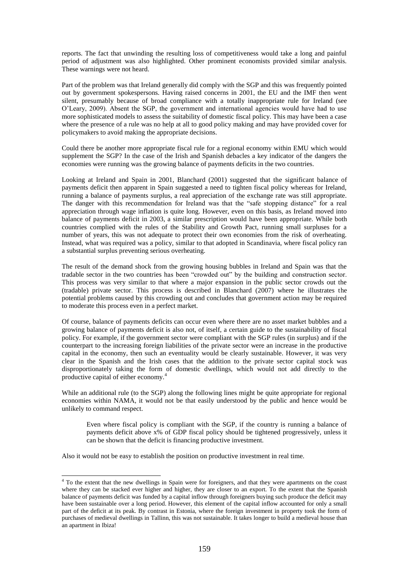reports. The fact that unwinding the resulting loss of competitiveness would take a long and painful period of adjustment was also highlighted. Other prominent economists provided similar analysis. These warnings were not heard.

Part of the problem was that Ireland generally did comply with the SGP and this was frequently pointed out by government spokespersons. Having raised concerns in 2001, the EU and the IMF then went silent, presumably because of broad compliance with a totally inappropriate rule for Ireland (see O"Leary, 2009). Absent the SGP, the government and international agencies would have had to use more sophisticated models to assess the suitability of domestic fiscal policy. This may have been a case where the presence of a rule was no help at all to good policy making and may have provided cover for policymakers to avoid making the appropriate decisions.

Could there be another more appropriate fiscal rule for a regional economy within EMU which would supplement the SGP? In the case of the Irish and Spanish debacles a key indicator of the dangers the economies were running was the growing balance of payments deficits in the two countries.

Looking at Ireland and Spain in 2001, Blanchard (2001) suggested that the significant balance of payments deficit then apparent in Spain suggested a need to tighten fiscal policy whereas for Ireland, running a balance of payments surplus, a real appreciation of the exchange rate was still appropriate. The danger with this recommendation for Ireland was that the "safe stopping distance" for a real appreciation through wage inflation is quite long. However, even on this basis, as Ireland moved into balance of payments deficit in 2003, a similar prescription would have been appropriate. While both countries complied with the rules of the Stability and Growth Pact, running small surpluses for a number of years, this was not adequate to protect their own economies from the risk of overheating. Instead, what was required was a policy, similar to that adopted in Scandinavia, where fiscal policy ran a substantial surplus preventing serious overheating.

The result of the demand shock from the growing housing bubbles in Ireland and Spain was that the tradable sector in the two countries has been "crowded out" by the building and construction sector. This process was very similar to that where a major expansion in the public sector crowds out the (tradable) private sector. This process is described in Blanchard (2007) where he illustrates the potential problems caused by this crowding out and concludes that government action may be required to moderate this process even in a perfect market.

Of course, balance of payments deficits can occur even where there are no asset market bubbles and a growing balance of payments deficit is also not, of itself, a certain guide to the sustainability of fiscal policy. For example, if the government sector were compliant with the SGP rules (in surplus) and if the counterpart to the increasing foreign liabilities of the private sector were an increase in the productive capital in the economy, then such an eventuality would be clearly sustainable. However, it was very clear in the Spanish and the Irish cases that the addition to the private sector capital stock was disproportionately taking the form of domestic dwellings, which would not add directly to the productive capital of either economy.<sup>4</sup>

While an additional rule (to the SGP) along the following lines might be quite appropriate for regional economies within NAMA, it would not be that easily understood by the public and hence would be unlikely to command respect.

Even where fiscal policy is compliant with the SGP, if the country is running a balance of payments deficit above x% of GDP fiscal policy should be tightened progressively, unless it can be shown that the deficit is financing productive investment.

Also it would not be easy to establish the position on productive investment in real time.

-

<sup>&</sup>lt;sup>4</sup> To the extent that the new dwellings in Spain were for foreigners, and that they were apartments on the coast where they can be stacked ever higher and higher, they are closer to an export. To the extent that the Spanish balance of payments deficit was funded by a capital inflow through foreigners buying such produce the deficit may have been sustainable over a long period. However, this element of the capital inflow accounted for only a small part of the deficit at its peak. By contrast in Estonia, where the foreign investment in property took the form of purchases of medieval dwellings in Tallinn, this was not sustainable. It takes longer to build a medieval house than an apartment in Ibiza!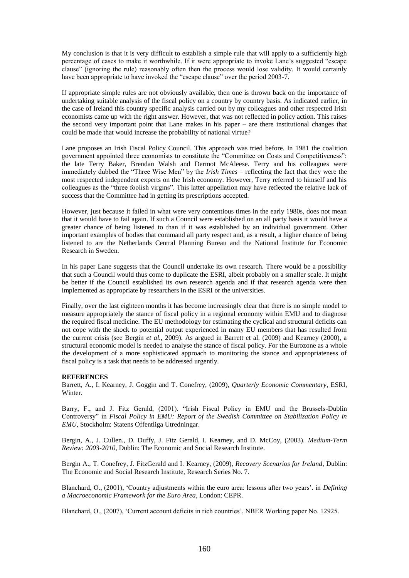My conclusion is that it is very difficult to establish a simple rule that will apply to a sufficiently high percentage of cases to make it worthwhile. If it were appropriate to invoke Lane"s suggested "escape clause" (ignoring the rule) reasonably often then the process would lose validity. It would certainly have been appropriate to have invoked the "escape clause" over the period 2003-7.

If appropriate simple rules are not obviously available, then one is thrown back on the importance of undertaking suitable analysis of the fiscal policy on a country by country basis. As indicated earlier, in the case of Ireland this country specific analysis carried out by my colleagues and other respected Irish economists came up with the right answer. However, that was not reflected in policy action. This raises the second very important point that Lane makes in his paper – are there institutional changes that could be made that would increase the probability of national virtue?

Lane proposes an Irish Fiscal Policy Council. This approach was tried before. In 1981 the coalition government appointed three economists to constitute the "Committee on Costs and Competitiveness": the late Terry Baker, Brendan Walsh and Dermot McAleese. Terry and his colleagues were immediately dubbed the "Three Wise Men" by the *Irish Times* – reflecting the fact that they were the most respected independent experts on the Irish economy. However, Terry referred to himself and his colleagues as the "three foolish virgins". This latter appellation may have reflected the relative lack of success that the Committee had in getting its prescriptions accepted.

However, just because it failed in what were very contentious times in the early 1980s, does not mean that it would have to fail again. If such a Council were established on an all party basis it would have a greater chance of being listened to than if it was established by an individual government. Other important examples of bodies that command all party respect and, as a result, a higher chance of being listened to are the Netherlands Central Planning Bureau and the National Institute for Economic Research in Sweden.

In his paper Lane suggests that the Council undertake its own research. There would be a possibility that such a Council would thus come to duplicate the ESRI, albeit probably on a smaller scale. It might be better if the Council established its own research agenda and if that research agenda were then implemented as appropriate by researchers in the ESRI or the universities.

Finally, over the last eighteen months it has become increasingly clear that there is no simple model to measure appropriately the stance of fiscal policy in a regional economy within EMU and to diagnose the required fiscal medicine. The EU methodology for estimating the cyclical and structural deficits can not cope with the shock to potential output experienced in many EU members that has resulted from the current crisis (see Bergin *et al.*, 2009). As argued in Barrett et al. (2009) and Kearney (2000), a structural economic model is needed to analyse the stance of fiscal policy. For the Eurozone as a whole the development of a more sophisticated approach to monitoring the stance and appropriateness of fiscal policy is a task that needs to be addressed urgently.

# **REFERENCES**

Barrett, A., I. Kearney, J. Goggin and T. Conefrey, (2009), *Quarterly Economic Commentary*, ESRI, Winter.

Barry, F., and J. Fitz Gerald, (2001). "Irish Fiscal Policy in EMU and the Brussels-Dublin Controversy" in *Fiscal Policy in EMU: Report of the Swedish Committee on Stabilization Policy in EMU*, Stockholm: Statens Offentliga Utredningar.

Bergin, A., J. Cullen., D. Duffy, J. Fitz Gerald, I. Kearney, and D. McCoy, (2003). *Medium-Term Review: 2003-2010,* Dublin: The Economic and Social Research Institute.

Bergin A., T. Conefrey, J. FitzGerald and I. Kearney, (2009), *Recovery Scenarios for Ireland*, Dublin: The Economic and Social Research Institute, Research Series No. 7.

Blanchard, O., (2001), "Country adjustments within the euro area: lessons after two years". in *Defining a Macroeconomic Framework for the Euro Area*, London: CEPR.

Blanchard, O., (2007), "Current account deficits in rich countries", NBER Working paper No. 12925.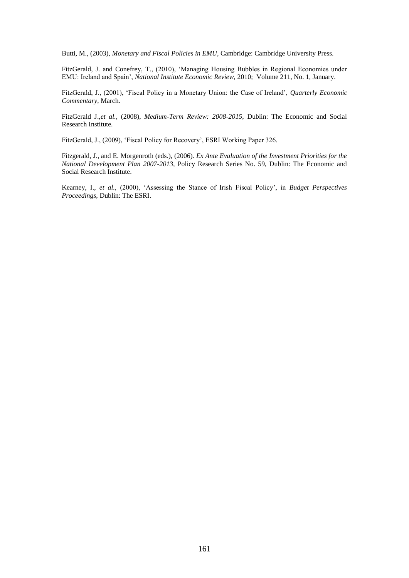Butti, M., (2003), *Monetary and Fiscal Policies in EMU*, Cambridge: Cambridge University Press.

FitzGerald, J. and Conefrey, T., (2010), "Managing Housing Bubbles in Regional Economies under EMU: Ireland and Spain", *National Institute Economic Review*, 2010; Volume 211, No. 1, January.

FitzGerald, J., (2001), "Fiscal Policy in a Monetary Union: the Case of Ireland", *Quarterly Economic Commentary*, March.

FitzGerald J.,*et al.*, (2008), *Medium-Term Review: 2008-2015*, Dublin: The Economic and Social Research Institute.

FitzGerald, J., (2009), 'Fiscal Policy for Recovery', ESRI Working Paper 326.

Fitzgerald, J., and E. Morgenroth (eds.), (2006). *Ex Ante Evaluation of the Investment Priorities for the National Development Plan 2007-2013*, Policy Research Series No. 59, Dublin: The Economic and Social Research Institute.

Kearney, I., *et al.,* (2000), "Assessing the Stance of Irish Fiscal Policy", in *Budget Perspectives Proceedings,* Dublin: The ESRI.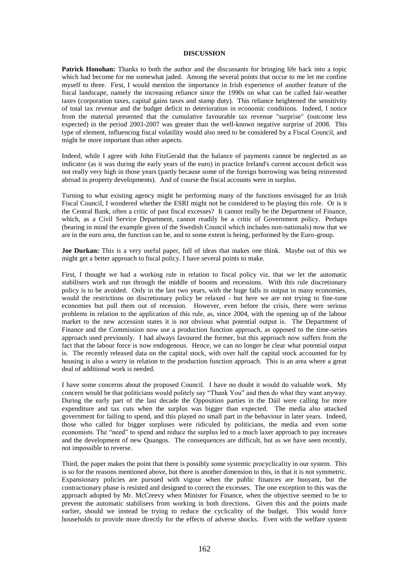#### **DISCUSSION**

**Patrick Honohan:** Thanks to both the author and the discussants for bringing life back into a topic which had become for me somewhat jaded. Among the several points that occur to me let me confine myself to three. First, I would mention the importance in Irish experience of another feature of the fiscal landscape, namely the increasing reliance since the 1990s on what can be called fair-weather taxes (corporation taxes, capital gains taxes and stamp duty). This reliance heightened the sensitivity of total tax revenue and the budget deficit to deterioration in economic conditions. Indeed, I notice from the material presented that the cumulative favourable tax revenue "surprise" (outcome less expected) in the period 2003-2007 was greater than the well-known negative surprise of 2008. This type of element, influencing fiscal volatility would also need to be considered by a Fiscal Council, and might be more important than other aspects.

Indeed, while I agree with John FitzGerald that the balance of payments cannot be neglected as an indicator (as it was during the early years of the euro) in practice Ireland's current account deficit was not really very high in those years (partly because some of the foreign borrowing was being reinvested abroad in property developments). And of course the fiscal accounts were in surplus.

Turning to what existing agency might be performing many of the functions envisaged for an Irish Fiscal Council, I wondered whether the ESRI might not be considered to be playing this role. Or is it the Central Bank, often a critic of past fiscal excesses? It cannot really be the Department of Finance, which, as a Civil Service Department, cannot readily be a critic of Government policy. Perhaps (bearing in mind the example given of the Swedish Council which includes non-nationals) now that we are in the euro area, the function can be, and to some extent is being, performed by the Euro-group.

**Joe Durkan:** This is a very useful paper, full of ideas that makes one think. Maybe out of this we might get a better approach to fiscal policy. I have several points to make.

First, I thought we had a working rule in relation to fiscal policy viz. that we let the automatic stabilisers work and run through the middle of booms and recessions. With this rule discretionary policy is to be avoided. Only in the last two years, with the huge falls in output in many economies, would the restrictions on discretionary policy be relaxed - but here we are not trying to fine-tune economies but pull them out of recession. However, even before the crisis, there were serious problems in relation to the application of this rule, as, since 2004, with the opening up of the labour market to the new accession states it is not obvious what potential output is. The Department of Finance and the Commission now use a production function approach, as opposed to the time-series approach used previously. I had always favoured the former, but this approach now suffers from the fact that the labour force is now endogenous. Hence, we can no longer be clear what potential output is. The recently released data on the capital stock, with over half the capital stock accounted for by housing is also a worry in relation to the production function approach. This is an area where a great deal of additional work is needed.

I have some concerns about the proposed Council. I have no doubt it would do valuable work. My concern would be that politicians would politely say "Thank You" and then do what they want anyway. During the early part of the last decade the Opposition parties in the Dáil were calling for more expenditure and tax cuts when the surplus was bigger than expected. The media also attacked government for failing to spend, and this played no small part in the behaviour in later years. Indeed, those who called for bigger surpluses were ridiculed by politicians, the media and even some economists. The "need" to spend and reduce the surplus led to a much laxer approach to pay increases and the development of new Quangos. The consequences are difficult, but as we have seen recently, not impossible to reverse.

Third, the paper makes the point that there is possibly some systemic procyclicality in our system. This is so for the reasons mentioned above, but there is another dimension to this, in that it is not symmetric. Expansionary policies are pursued with vigour when the public finances are buoyant, but the contractionary phase is resisted and designed to correct the excesses. The one exception to this was the approach adopted by Mr. McCreevy when Minister for Finance, when the objective seemed to be to prevent the automatic stabilisers from working in both directions. Given this and the points made earlier, should we instead be trying to reduce the cyclicality of the budget. This would force households to provide more directly for the effects of adverse shocks. Even with the welfare system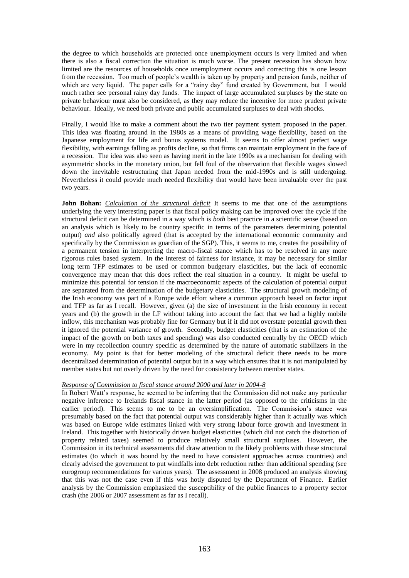the degree to which households are protected once unemployment occurs is very limited and when there is also a fiscal correction the situation is much worse. The present recession has shown how limited are the resources of households once unemployment occurs and correcting this is one lesson from the recession. Too much of people"s wealth is taken up by property and pension funds, neither of which are very liquid. The paper calls for a "rainy day" fund created by Government, but I would much rather see personal rainy day funds. The impact of large accumulated surpluses by the state on private behaviour must also be considered, as they may reduce the incentive for more prudent private behaviour. Ideally, we need both private and public accumulated surpluses to deal with shocks.

Finally, I would like to make a comment about the two tier payment system proposed in the paper. This idea was floating around in the 1980s as a means of providing wage flexibility, based on the Japanese employment for life and bonus systems model. It seems to offer almost perfect wage flexibility, with earnings falling as profits decline, so that firms can maintain employment in the face of a recession. The idea was also seen as having merit in the late 1990s as a mechanism for dealing with asymmetric shocks in the monetary union, but fell foul of the observation that flexible wages slowed down the inevitable restructuring that Japan needed from the mid-1990s and is still undergoing. Nevertheless it could provide much needed flexibility that would have been invaluable over the past two years.

**John Bohan:** *Calculation of the structural deficit* It seems to me that one of the assumptions underlying the very interesting paper is that fiscal policy making can be improved over the cycle if the structural deficit can be determined in a way which is *both* best practice in a scientific sense (based on an analysis which is likely to be country specific in terms of the parameters determining potential output) *and* also politically agreed (that is accepted by the international economic community and specifically by the Commission as guardian of the SGP). This, it seems to me, creates the possibility of a permanent tension in interpreting the macro-fiscal stance which has to be resolved in any more rigorous rules based system. In the interest of fairness for instance, it may be necessary for similar long term TFP estimates to be used or common budgetary elasticities, but the lack of economic convergence may mean that this does reflect the real situation in a country. It might be useful to minimize this potential for tension if the macroeconomic aspects of the calculation of potential output are separated from the determination of the budgetary elasticities. The structural growth modeling of the Irish economy was part of a Europe wide effort where a common approach based on factor input and TFP as far as I recall. However, given (a) the size of investment in the Irish economy in recent years and (b) the growth in the LF without taking into account the fact that we had a highly mobile inflow, this mechanism was probably fine for Germany but if it did not overstate potential growth then it ignored the potential variance of growth. Secondly, budget elasticities (that is an estimation of the impact of the growth on both taxes and spending) was also conducted centrally by the OECD which were in my recollection country specific as determined by the nature of automatic stabilizers in the economy. My point is that for better modeling of the structural deficit there needs to be more decentralized determination of potential output but in a way which ensures that it is not manipulated by member states but not overly driven by the need for consistency between member states.

# *Response of Commission to fiscal stance around 2000 and later in 2004-8*

In Robert Watt"s response, he seemed to be inferring that the Commission did not make any particular negative inference to Irelands fiscal stance in the latter period (as opposed to the criticisms in the earlier period). This seems to me to be an oversimplification. The Commission's stance was presumably based on the fact that potential output was considerably higher than it actually was which was based on Europe wide estimates linked with very strong labour force growth and investment in Ireland. This together with historically driven budget elasticities (which did not catch the distortion of property related taxes) seemed to produce relatively small structural surpluses. However, the Commission in its technical assessments did draw attention to the likely problems with these structural estimates (to which it was bound by the need to have consistent approaches across countries) and clearly advised the government to put windfalls into debt reduction rather than additional spending (see eurogroup recommendations for various years). The assessment in 2008 produced an analysis showing that this was not the case even if this was hotly disputed by the Department of Finance. Earlier analysis by the Commission emphasized the susceptibility of the public finances to a property sector crash (the 2006 or 2007 assessment as far as I recall).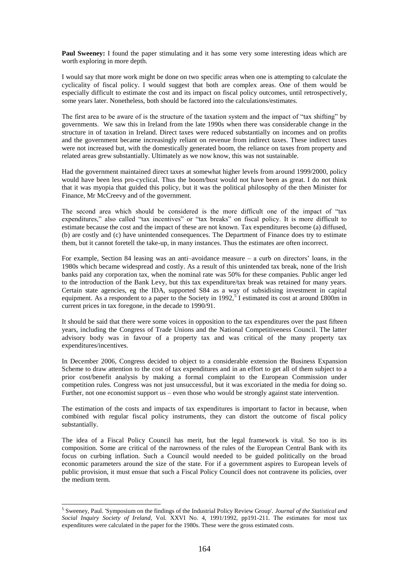**Paul Sweeney:** I found the paper stimulating and it has some very some interesting ideas which are worth exploring in more depth.

I would say that more work might be done on two specific areas when one is attempting to calculate the cyclicality of fiscal policy. I would suggest that both are complex areas. One of them would be especially difficult to estimate the cost and its impact on fiscal policy outcomes, until retrospectively, some years later. Nonetheless, both should be factored into the calculations/estimates.

The first area to be aware of is the structure of the taxation system and the impact of "tax shifting" by governments. We saw this in Ireland from the late 1990s when there was considerable change in the structure in of taxation in Ireland. Direct taxes were reduced substantially on incomes and on profits and the government became increasingly reliant on revenue from indirect taxes. These indirect taxes were not increased but, with the domestically generated boom, the reliance on taxes from property and related areas grew substantially. Ultimately as we now know, this was not sustainable.

Had the government maintained direct taxes at somewhat higher levels from around 1999/2000, policy would have been less pro-cyclical. Thus the boom/bust would not have been as great. I do not think that it was myopia that guided this policy, but it was the political philosophy of the then Minister for Finance, Mr McCreevy and of the government.

The second area which should be considered is the more difficult one of the impact of "tax expenditures," also called "tax incentives" or "tax breaks" on fiscal policy. It is more difficult to estimate because the cost and the impact of these are not known. Tax expenditures become (a) diffused, (b) are costly and (c) have unintended consequences. The Department of Finance does try to estimate them, but it cannot foretell the take-up, in many instances. Thus the estimates are often incorrect.

For example, Section 84 leasing was an anti-avoidance measure  $-$  a curb on directors' loans, in the 1980s which became widespread and costly. As a result of this unintended tax break, none of the Irish banks paid any corporation tax, when the nominal rate was 50% for these companies. Public anger led to the introduction of the Bank Levy, but this tax expenditure/tax break was retained for many years. Certain state agencies, eg the IDA, supported S84 as a way of subsidising investment in capital equipment. As a respondent to a paper to the Society in 1992,<sup>5</sup> I estimated its cost at around £800m in current prices in tax foregone, in the decade to 1990/91.

It should be said that there were some voices in opposition to the tax expenditures over the past fifteen years, including the Congress of Trade Unions and the National Competitiveness Council. The latter advisory body was in favour of a property tax and was critical of the many property tax expenditures/incentives.

In December 2006, Congress decided to object to a considerable extension the Business Expansion Scheme to draw attention to the cost of tax expenditures and in an effort to get all of them subject to a prior cost/benefit analysis by making a formal complaint to the European Commission under competition rules. Congress was not just unsuccessful, but it was excoriated in the media for doing so. Further, not one economist support us – even those who would be strongly against state intervention.

The estimation of the costs and impacts of tax expenditures is important to factor in because, when combined with regular fiscal policy instruments, they can distort the outcome of fiscal policy substantially.

The idea of a Fiscal Policy Council has merit, but the legal framework is vital. So too is its composition. Some are critical of the narrowness of the rules of the European Central Bank with its focus on curbing inflation. Such a Council would needed to be guided politically on the broad economic parameters around the size of the state. For if a government aspires to European levels of public provision, it must ensue that such a Fiscal Policy Council does not contravene its policies, over the medium term.

 $\overline{a}$ 

<sup>5</sup> Sweeney, Paul. 'Symposium on the findings of the Industrial Policy Review Group'. *Journal of the Statistical and Social Inquiry Society of Ireland*, Vol. XXVI No. 4, 1991/1992, pp191-211. The estimates for most tax expenditures were calculated in the paper for the 1980s. These were the gross estimated costs.